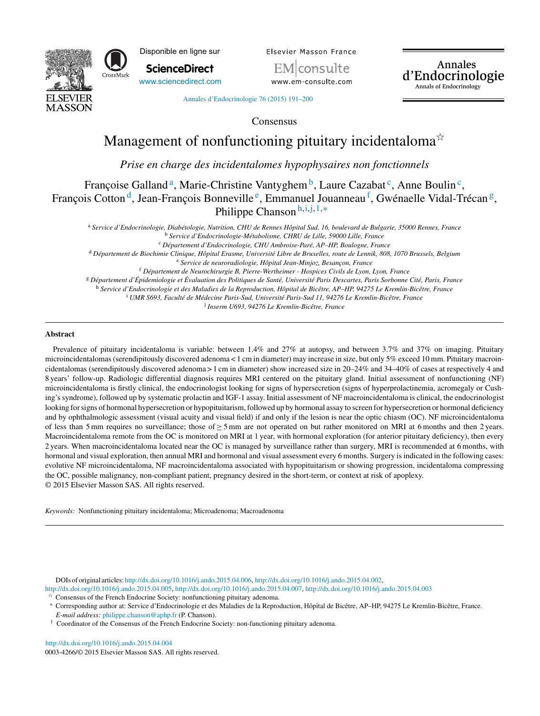



[www.sciencedirect.com](http://www.sciencedirect.com/science/journal/00034266)

**Elsevier Masson France** 

www.em-consulte.com

Annales<br>d'Endocrinologie Annals of Endocrinology

Annales [d'Endocrinologie](dx.doi.org/10.1016/j.ando.2015.04.004) 76 (2015) 191–200

Consensus

# Management of nonfunctioning pituitary incidentaloma<sup>\*</sup>

*Prise en charge des incidentalomes hypophysaires non fonctionnels*

Françoise Galland<sup>a</sup>, Marie-Christine Vantyghem<sup>b</sup>, Laure Cazabat<sup>c</sup>, Anne Boulin<sup>c</sup>, François Cotton<sup>d</sup>, Jean-François Bonneville<sup>e</sup>, Emmanuel Jouanneau<sup>f</sup>, Gwénaelle Vidal-Trécan<sup>g</sup>, Philippe Chanson h,i,j, 1,∗

<sup>a</sup> Service d'Endocrinologie, Diabétologie, Nutrition, CHU de Rennes Hôpital Sud, 16, boulevard de Bulgarie, 35000 Rennes, France <sup>b</sup> *Service d'Endocrinologie-Métabolisme, CHRU de Lille, 59000 Lille, France* <sup>c</sup> *Département d'Endocrinologie, CHU Ambroise-Paré, AP–HP, Boulogne, France*

<sup>d</sup> Département de Biochimie Clinique, Hôpital Erasme, Université Libre de Bruxelles, route de Lennik, 808, 1070 Brussels, Belgium <sup>e</sup> *Service de neuroradiologie, Hôpital Jean-Minjoz, Besan¸con, France*

<sup>f</sup> *Département de Neurochirurgie B, Pierre-Wertheimer - Hospices Civils de Lyon, Lyon, France*

<sup>g</sup> Département d'Épidemiologie et Évaluation des Politiques de Santé, Université Paris Descartes, Paris Sorbonne Cité, Paris, France

<sup>h</sup> Service d'Endocrinologie et des Maladies de la Reproduction, Hôpital de Bicêtre, AP–HP, 94275 Le Kremlin-Bicêtre, France

<sup>i</sup> *UMR S693, Faculté de Médecine Paris-Sud, Université Paris-Sud 11, 94276 Le Kremlin-Bicêtre, France*

<sup>j</sup> *Inserm U693, 94276 Le Kremlin-Bicêtre, France*

### **Abstract**

Prevalence of pituitary incidentaloma is variable: between 1.4% and 27% at autopsy, and between 3.7% and 37% on imaging. Pituitary microincidentalomas (serendipitously discovered adenoma < 1 cm in diameter) may increase in size, but only 5% exceed 10 mm. Pituitary macroincidentalomas (serendipitously discovered adenoma > 1 cm in diameter) show increased size in 20–24% and 34–40% of cases at respectively 4 and 8 years' follow-up. Radiologic differential diagnosis requires MRI centered on the pituitary gland. Initial assessment of nonfunctioning (NF) microincidentaloma is firstly clinical, the endocrinologist looking for signs of hypersecretion (signs of hyperprolactinemia, acromegaly or Cushing's syndrome), followed up by systematic prolactin and IGF-1 assay. Initial assessment of NF macroincidentaloma is clinical, the endocrinologist looking for signs of hormonal hypersecretion or hypopituitarism, followed up by hormonal assay to screen for hypersecretion or hormonal deficiency and by ophthalmologic assessment (visual acuity and visual field) if and only if the lesion is near the optic chiasm (OC). NF microincidentaloma of less than 5 mm requires no surveillance; those of > 5 mm are not operated on but rather monitored on MRI at 6 months and then 2 years. Macroincidentaloma remote from the OC is monitored on MRI at 1 year, with hormonal exploration (for anterior pituitary deficiency), then every 2 years. When macroincidentaloma located near the OC is managed by surveillance rather than surgery, MRI is recommended at 6 months, with hormonal and visual exploration, then annual MRI and hormonal and visual assessment every 6 months. Surgery is indicated in the following cases: evolutive NF microincidentaloma, NF macroincidentaloma associated with hypopituitarism or showing progression, incidentaloma compressing the OC, possible malignancy, non-compliant patient, pregnancy desired in the short-term, or context at risk of apoplexy. © 2015 Elsevier Masson SAS. All rights reserved.

*Keywords:* Nonfunctioning pituitary incidentaloma; Microadenoma; Macroadenoma

DOIs of original articles: [http://dx.doi.org/10.1016/j.ando.2015.04.006,](http://dx.doi.org/10.1016/j.ando.2015.04.006) <http://dx.doi.org/10.1016/j.ando.2015.04.002>,

<http://dx.doi.org/10.1016/j.ando.2015.04.005>, [http://dx.doi.org/10.1016/j.ando.2015.04.007,](http://dx.doi.org/10.1016/j.ando.2015.04.007) <http://dx.doi.org/10.1016/j.ando.2015.04.003>

 $\frac{1}{24}$ Consensus of the French Endocrine Society: nonfunctioning pituitary adenoma.

<sup>1</sup> Coordinator of the Consensus of the French Endocrine Society: non-functioning pituitary adenoma.

[http://dx.doi.org/10.1016/j.ando.2015.04.004](dx.doi.org/10.1016/j.ando.2015.04.004) 0003-4266/© 2015 Elsevier Masson SAS. All rights reserved.

<sup>∗</sup> Corresponding author at: Service d'Endocrinologie et des Maladies de la Reproduction, Hôpital de Bicêtre, AP–HP, 94275 Le Kremlin-Bicêtre, France. *E-mail address:* [philippe.chanson@aphp.fr](mailto:philippe.chanson@aphp.fr) (P. Chanson).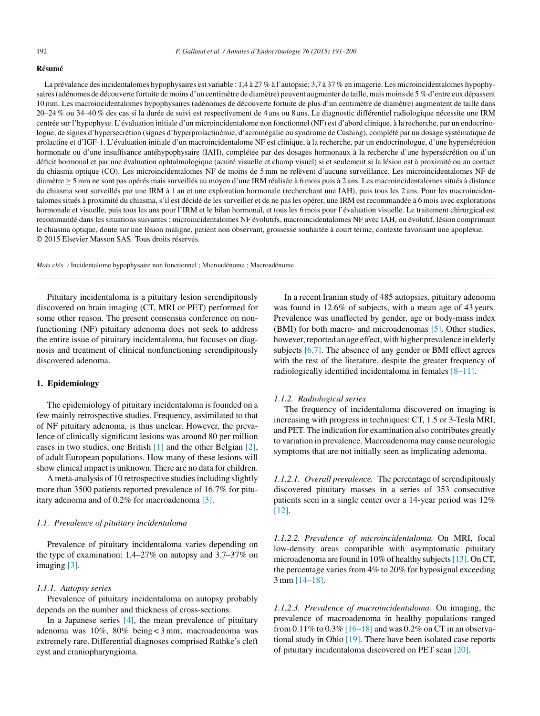#### **Résumé**

La prévalence des incidentalomes hypophysaires est variable : 1,4 à 27 % à l'autopsie; 3,7 à 37 % en imagerie. Les microincidentalomes hypophysaires (adénomes de découverte fortuite de moins d'un centimètre de diamètre) peuvent augmenter de taille, mais moins de 5 % d'entre eux dépassent 10 mm. Les macroincidentalomes hypophysaires (adénomes de découverte fortuite de plus d'un centimètre de diamètre) augmentent de taille dans 20–24 % ou 34–40 % des cas si la durée de suivi est respectivement de 4 ans ou 8 ans. Le diagnostic différentiel radiologique nécessite une IRM centrée sur l'hypophyse. L'évaluation initiale d'un microincidentalome non fonctionnel (NF) est d'abord clinique, à la recherche, par un endocrinologue, de signes d'hypersecrétion (signes d'hyperprolactinémie, d'acromégalie ou syndrome de Cushing), complété par un dosage systématique de prolactine et d'IGF-1. L'évaluation initiale d'un macroincidentalome NF est clinique, à la recherche, par un endocrinologue, d'une hypersécrétion hormonale ou d'une insuffisance antéhypophysaire (IAH), complétée par des dosages hormonaux à la recherche d'une hypersécrétion ou d'un déficit hormonal et par une évaluation ophtalmologique (acuité visuelle et champ visuel) si et seulement si la lésion est à proximité ou au contact du chiasma optique (CO). Les microincidentalomes NF de moins de 5 mm ne relèvent d'aucune surveillance. Les microincidentalomes NF de diamètre ≥ 5 mm ne sont pas opérés mais surveillés au moyen d'une IRM réalisée à 6 mois puis à 2 ans. Les macroincidentalomes situés à distance du chiasma sont surveillés par une IRM à 1 an et une exploration hormonale (recherchant une IAH), puis tous les 2 ans. Pour les macroincidentalomes situés à proximité du chiasma, s'il est décidé de les surveiller et de ne pas les opérer, une IRM est recommandée à 6 mois avec explorations hormonale et visuelle, puis tous les ans pour l'IRM et le bilan hormonal, et tous les 6 mois pour l'évaluation visuelle. Le traitement chirurgical est recommandé dans les situations suivantes: microincidentalomes NF évolutifs, macroincidentalomes NF avec IAH, ou évolutif, lésion comprimant le chiasma optique, doute sur une lésion maligne, patient non observant, grossesse souhaitée à court terme, contexte favorisant une apoplexie. © 2015 Elsevier Masson SAS. Tous droits réservés.

*Mots clés :* Incidentalome hypophysaire non fonctionnel ; Microadénome ; Macroadénome

Pituitary incidentaloma is a pituitary lesion serendipitously discovered on brain imaging (CT, MRI or PET) performed for some other reason. The present consensus conference on nonfunctioning (NF) pituitary adenoma does not seek to address the entire issue of pituitary incidentaloma, but focuses on diagnosis and treatment of clinical nonfunctioning serendipitously discovered adenoma.

### **1. Epidemiology**

The epidemiology of pituitary incidentaloma is founded on a few mainly retrospective studies. Frequency, assimilated to that of NF pituitary adenoma, is thus unclear. However, the prevalence of clinically significant lesions was around 80 per million cases in two studies, one British [\[1\]](#page-8-0) and the other Belgian [\[2\],](#page-8-0) of adult European populations. How many of these lesions will show clinical impact is unknown. There are no data for children.

A meta-analysis of 10 retrospective studiesincluding slightly more than 3500 patients reported prevalence of 16.7% for pituitary adenoma and of 0.2% for macroadenoma [\[3\].](#page-8-0)

### *1.1. Prevalence of pituitary incidentaloma*

Prevalence of pituitary incidentaloma varies depending on the type of examination: 1.4–27% on autopsy and 3.7–37% on imaging [\[3\].](#page-8-0)

#### *1.1.1. Autopsy series*

Prevalence of pituitary incidentaloma on autopsy probably depends on the number and thickness of cross-sections.

In a Japanese series  $[4]$ , the mean prevalence of pituitary adenoma was 10%, 80% being < 3 mm; macroadenoma was extremely rare. Differential diagnoses comprised Rathke's cleft cyst and craniopharyngioma.

In a recent Iranian study of 485 autopsies, pituitary adenoma was found in 12.6% of subjects, with a mean age of 43 years. Prevalence was unaffected by gender, age or body-mass index (BMI) for both macro- and microadenomas [\[5\].](#page-8-0) Other studies, however, reported an age effect, with higher prevalence in elderly subjects [\[6,7\].](#page-8-0) The absence of any gender or BMI effect agrees with the rest of the literature, despite the greater frequency of radiologically identified incidentaloma in females [\[8–11\].](#page-8-0)

### *1.1.2. Radiological series*

The frequency of incidentaloma discovered on imaging is increasing with progress in techniques: CT, 1.5 or 3-Tesla MRI, and PET. The indication for examination also contributes greatly to variation in prevalence. Macroadenoma may cause neurologic symptoms that are not initially seen as implicating adenoma.

*1.1.2.1. Overall prevalence.* The percentage of serendipitously discovered pituitary masses in a series of 353 consecutive patients seen in a single center over a 14-year period was 12% [\[12\].](#page-8-0)

*1.1.2.2. Prevalence of microincidentaloma.* On MRI, focal low-density areas compatible with asymptomatic pituitary microadenoma are found in 10% of healthy subjects[\[13\].](#page-8-0) OnCT, the percentage varies from 4% to 20% for hyposignal exceeding 3 mm [\[14–18\].](#page-8-0)

*1.1.2.3. Prevalence of macroincidentaloma.* On imaging, the prevalence of macroadenoma in healthy populations ranged from  $0.11\%$  to  $0.3\%$  [\[16–18\]](#page-8-0) and was  $0.2\%$  on CT in an observational study in Ohio [\[19\].](#page-9-0) There have been isolated case reports of pituitary incidentaloma discovered on PET scan [\[20\].](#page-9-0)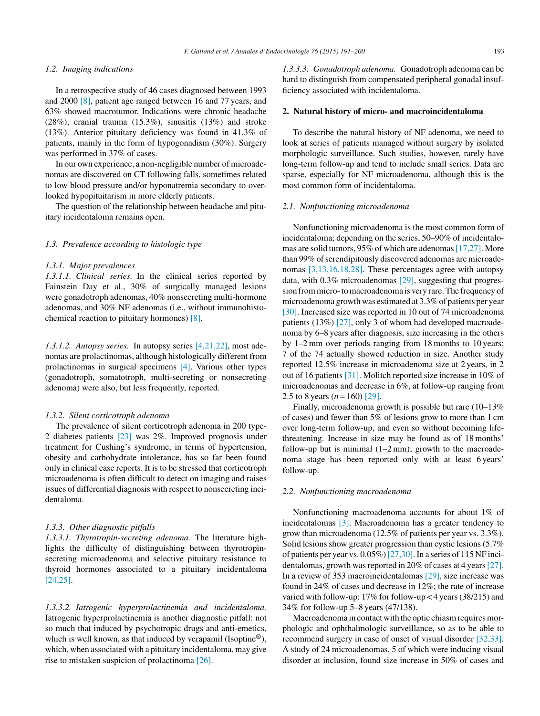### *1.2. Imaging indications*

In a retrospective study of 46 cases diagnosed between 1993 and 2000 [\[8\],](#page-8-0) patient age ranged between 16 and 77 years, and 63% showed macrotumor. Indications were chronic headache (28%), cranial trauma (15.3%), sinusitis (13%) and stroke (13%). Anterior pituitary deficiency was found in 41.3% of patients, mainly in the form of hypogonadism (30%). Surgery was performed in 37% of cases.

In our own experience, a non-negligible number of microadenomas are discovered on CT following falls, sometimes related to low blood pressure and/or hyponatremia secondary to overlooked hypopituitarism in more elderly patients.

The question of the relationship between headache and pituitary incidentaloma remains open.

### *1.3. Prevalence according to histologic type*

### *1.3.1. Major prevalences*

*1.3.1.1. Clinical series.* In the clinical series reported by Fainstein Day et al., 30% of surgically managed lesions were gonadotroph adenomas, 40% nonsecreting multi-hormone adenomas, and 30% NF adenomas (i.e., without immunohistochemical reaction to pituitary hormones) [\[8\].](#page-8-0)

*1.3.1.2. Autopsy series.* In autopsy series [\[4,21,22\],](#page-8-0) most adenomas are prolactinomas, although histologically different from prolactinomas in surgical specimens [\[4\].](#page-8-0) Various other types (gonadotroph, somatotroph, multi-secreting or nonsecreting adenoma) were also, but less frequently, reported.

### *1.3.2. Silent corticotroph adenoma*

The prevalence of silent corticotroph adenoma in 200 type-2 diabetes patients [\[23\]](#page-9-0) was 2%. Improved prognosis under treatment for Cushing's syndrome, in terms of hypertension, obesity and carbohydrate intolerance, has so far been found only in clinical case reports. It is to be stressed that corticotroph microadenoma is often difficult to detect on imaging and raises issues of differential diagnosis with respect to nonsecreting incidentaloma.

#### *1.3.3. Other diagnostic pitfalls*

*1.3.3.1. Thyrotropin-secreting adenoma.* The literature highlights the difficulty of distinguishing between thyrotropinsecreting microadenoma and selective pituitary resistance to thyroid hormones associated to a pituitary incidentaloma [\[24,25\].](#page-9-0)

*1.3.3.2. Iatrogenic hyperprolactinemia and incidentaloma.* Iatrogenic hyperprolactinemia is another diagnostic pitfall: not so much that induced by psychotropic drugs and anti-emetics, which is well known, as that induced by verapamil (Isoptine<sup>®</sup>), which, when associated with a pituitary incidentaloma, may give rise to mistaken suspicion of prolactinoma [\[26\].](#page-9-0)

*1.3.3.3. Gonadotroph adenoma.* Gonadotroph adenoma can be hard to distinguish from compensated peripheral gonadal insufficiency associated with incidentaloma.

### **2. Natural history of micro- and macroincidentaloma**

To describe the natural history of NF adenoma, we need to look at series of patients managed without surgery by isolated morphologic surveillance. Such studies, however, rarely have long-term follow-up and tend to include small series. Data are sparse, especially for NF microadenoma, although this is the most common form of incidentaloma.

### *2.1. Nonfunctioning microadenoma*

Nonfunctioning microadenoma is the most common form of incidentaloma; depending on the series, 50–90% of incidentalomas are solid tumors, 95% of which are adenomas[\[17,27\].](#page-8-0) More than 99% of serendipitously discovered adenomas are microadenomas [\[3,13,16,18,28\].](#page-8-0) These percentages agree with autopsy data, with 0.3% microadenomas [\[29\],](#page-9-0) suggesting that progression frommicro-tomacroadenoma is very rare.The frequency of microadenoma growth was estimated at 3.3% of patients per year [\[30\].](#page-9-0) Increased size was reported in 10 out of 74 microadenoma patients (13%) [\[27\],](#page-9-0) only 3 of whom had developed macroadenoma by 6–8 years after diagnosis, size increasing in the others by 1–2 mm over periods ranging from 18 months to 10 years; 7 of the 74 actually showed reduction in size. Another study reported 12.5% increase in microadenoma size at 2 years, in 2 out of 16 patients [\[31\].](#page-9-0) Molitch reported size increase in 10% of microadenomas and decrease in 6%, at follow-up ranging from 2.5 to 8 years  $(n = 160)$  [\[29\].](#page-9-0)

Finally, microadenoma growth is possible but rare (10–13% of cases) and fewer than 5% of lesions grow to more than 1 cm over long-term follow-up, and even so without becoming lifethreatening. Increase in size may be found as of 18 months' follow-up but is minimal  $(1-2 \text{ mm})$ ; growth to the macroadenoma stage has been reported only with at least 6 years' follow-up.

#### *2.2. Nonfunctioning macroadenoma*

Nonfunctioning macroadenoma accounts for about 1% of incidentalomas [\[3\].](#page-8-0) Macroadenoma has a greater tendency to grow than microadenoma (12.5% of patients per year vs. 3.3%). Solid lesions show greater progression than cystic lesions  $(5.7\%$ of patients per year vs.  $0.05\%$  [27,30]. In a series of 115 NF inci-dentalomas, growth was reported in 20% of cases at 4 years [\[27\].](#page-9-0) In a review of 353 macroincidentalomas [\[29\],](#page-9-0) size increase was found in 24% of cases and decrease in 12%; the rate of increase varied with follow-up: 17% for follow-up < 4 years(38/215) and 34% for follow-up 5–8 years (47/138).

Macroadenoma in contact with the optic chiasm requires morphologic and ophthalmologic surveillance, so as to be able to recommend surgery in case of onset of visual disorder [\[32,33\].](#page-9-0) A study of 24 microadenomas, 5 of which were inducing visual disorder at inclusion, found size increase in 50% of cases and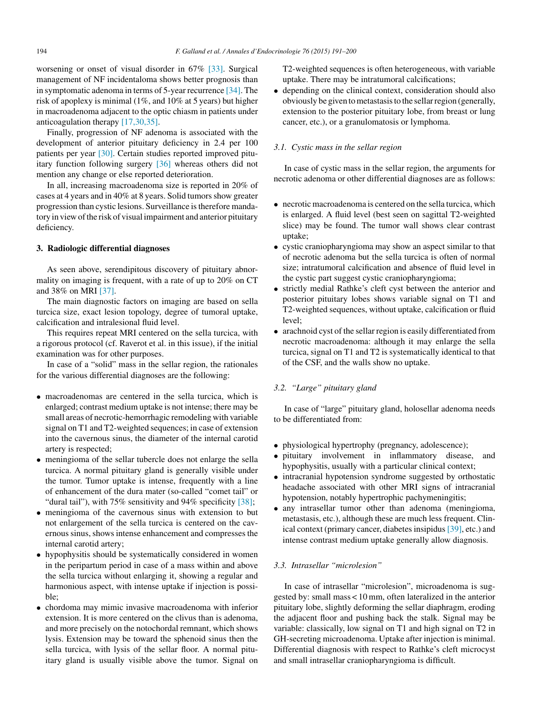worsening or onset of visual disorder in 67% [\[33\].](#page-9-0) Surgical management of NF incidentaloma shows better prognosis than in symptomatic adenoma in terms of 5-year recurrence [\[34\].](#page-9-0) The risk of apoplexy is minimal (1%, and 10% at 5 years) but higher in macroadenoma adjacent to the optic chiasm in patients under anticoagulation therapy [\[17,30,35\].](#page-8-0)

Finally, progression of NF adenoma is associated with the development of anterior pituitary deficiency in 2.4 per 100 patients per year [\[30\].](#page-9-0) Certain studies reported improved pituitary function following surgery [\[36\]](#page-9-0) whereas others did not mention any change or else reported deterioration.

In all, increasing macroadenoma size is reported in 20% of cases at 4 years and in 40% at 8 years. Solid tumors show greater progression than cystic lesions. Surveillance is therefore mandatory in view of the risk of visual impairment and anterior pituitary deficiency.

### **3. Radiologic differential diagnoses**

As seen above, serendipitous discovery of pituitary abnormality on imaging is frequent, with a rate of up to 20% on CT and 38% on MRI [\[37\].](#page-9-0)

The main diagnostic factors on imaging are based on sella turcica size, exact lesion topology, degree of tumoral uptake, calcification and intralesional fluid level.

This requires repeat MRI centered on the sella turcica, with a rigorous protocol (cf. Raverot et al. in this issue), if the initial examination was for other purposes.

In case of a "solid" mass in the sellar region, the rationales for the various differential diagnoses are the following:

- macroadenomas are centered in the sella turcica, which is enlarged; contrast medium uptake is not intense; there may be small areas of necrotic-hemorrhagic remodeling with variable signal on T1 and T2-weighted sequences; in case of extension into the cavernous sinus, the diameter of the internal carotid artery is respected;
- meningioma of the sellar tubercle does not enlarge the sella turcica. A normal pituitary gland is generally visible under the tumor. Tumor uptake is intense, frequently with a line of enhancement of the dura mater (so-called "comet tail" or "dural tail"), with 75% sensitivity and 94% specificity [\[38\];](#page-9-0)
- meningioma of the cavernous sinus with extension to but not enlargement of the sella turcica is centered on the cavernous sinus, shows intense enhancement and compresses the internal carotid artery;
- hypophysitis should be systematically considered in women in the peripartum period in case of a mass within and above the sella turcica without enlarging it, showing a regular and harmonious aspect, with intense uptake if injection is possible;
- chordoma may mimic invasive macroadenoma with inferior extension. It is more centered on the clivus than is adenoma, and more precisely on the notochordal remnant, which shows lysis. Extension may be toward the sphenoid sinus then the sella turcica, with lysis of the sellar floor. A normal pituitary gland is usually visible above the tumor. Signal on

T2-weighted sequences is often heterogeneous, with variable uptake. There may be intratumoral calcifications;

• depending on the clinical context, consideration should also obviously be given tometastasisto the sellarregion (generally, extension to the posterior pituitary lobe, from breast or lung cancer, etc.), or a granulomatosis or lymphoma.

### *3.1. Cystic mass in the sellar region*

In case of cystic mass in the sellar region, the arguments for necrotic adenoma or other differential diagnoses are as follows:

- necrotic macroadenoma is centered on the sella turcica, which is enlarged. A fluid level (best seen on sagittal T2-weighted slice) may be found. The tumor wall shows clear contrast uptake;
- cystic craniopharyngioma may show an aspect similar to that of necrotic adenoma but the sella turcica is often of normal size; intratumoral calcification and absence of fluid level in the cystic part suggest cystic craniopharyngioma;
- strictly medial Rathke's cleft cyst between the anterior and posterior pituitary lobes shows variable signal on T1 and T2-weighted sequences, without uptake, calcification or fluid level;
- arachnoid cyst of the sellar region is easily differentiated from necrotic macroadenoma: although it may enlarge the sella turcica, signal on T1 and T2 is systematically identical to that of the CSF, and the walls show no uptake.

#### *3.2. "Large" pituitary gland*

In case of "large" pituitary gland, holosellar adenoma needs to be differentiated from:

- physiological hypertrophy (pregnancy, adolescence);
- pituitary involvement in inflammatory disease, and hypophysitis, usually with a particular clinical context;
- intracranial hypotension syndrome suggested by orthostatic headache associated with other MRI signs of intracranial hypotension, notably hypertrophic pachymeningitis;
- any intrasellar tumor other than adenoma (meningioma, metastasis, etc.), although these are much less frequent. Clin-ical context (primary cancer, diabetes insipidus [\[39\],](#page-9-0) etc.) and intense contrast medium uptake generally allow diagnosis.

### *3.3. Intrasellar "microlesion"*

In case of intrasellar "microlesion", microadenoma is suggested by: small mass < 10 mm, often lateralized in the anterior pituitary lobe, slightly deforming the sellar diaphragm, eroding the adjacent floor and pushing back the stalk. Signal may be variable: classically, low signal on T1 and high signal on T2 in GH-secreting microadenoma. Uptake after injection is minimal. Differential diagnosis with respect to Rathke's cleft microcyst and small intrasellar craniopharyngioma is difficult.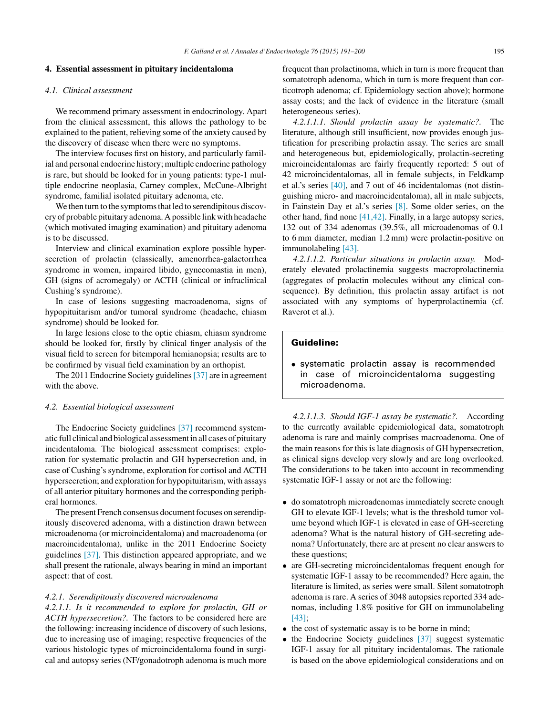### **4. Essential assessment in pituitary incidentaloma**

#### *4.1. Clinical assessment*

We recommend primary assessment in endocrinology. Apart from the clinical assessment, this allows the pathology to be explained to the patient, relieving some of the anxiety caused by the discovery of disease when there were no symptoms.

The interview focuses first on history, and particularly familial and personal endocrine history; multiple endocrine pathology is rare, but should be looked for in young patients: type-1 multiple endocrine neoplasia, Carney complex, McCune-Albright syndrome, familial isolated pituitary adenoma, etc.

We then turn to the symptoms that led to serendipitous discovery of probable pituitary adenoma.Apossible linkwith headache (which motivated imaging examination) and pituitary adenoma is to be discussed.

Interview and clinical examination explore possible hypersecretion of prolactin (classically, amenorrhea-galactorrhea syndrome in women, impaired libido, gynecomastia in men), GH (signs of acromegaly) or ACTH (clinical or infraclinical Cushing's syndrome).

In case of lesions suggesting macroadenoma, signs of hypopituitarism and/or tumoral syndrome (headache, chiasm syndrome) should be looked for.

In large lesions close to the optic chiasm, chiasm syndrome should be looked for, firstly by clinical finger analysis of the visual field to screen for bitemporal hemianopsia; results are to be confirmed by visual field examination by an orthopist.

The 2011 Endocrine Society guidelines [\[37\]](#page-9-0) are in agreement with the above.

#### *4.2. Essential biological assessment*

The Endocrine Society guidelines [\[37\]](#page-9-0) recommend systematic full clinical and biological assessment in all cases of pituitary incidentaloma. The biological assessment comprises: exploration for systematic prolactin and GH hypersecretion and, in case of Cushing's syndrome, exploration for cortisol and ACTH hypersecretion; and exploration for hypopituitarism, with assays of all anterior pituitary hormones and the corresponding peripheral hormones.

The present French consensus document focuses on serendipitously discovered adenoma, with a distinction drawn between microadenoma (or microincidentaloma) and macroadenoma (or macroincidentaloma), unlike in the 2011 Endocrine Society guidelines [\[37\].](#page-9-0) This distinction appeared appropriate, and we shall present the rationale, always bearing in mind an important aspect: that of cost.

#### *4.2.1. Serendipitously discovered microadenoma*

*4.2.1.1. Is it recommended to explore for prolactin, GH or ACTH hypersecretion?.* The factors to be considered here are the following: increasing incidence of discovery of such lesions, due to increasing use of imaging; respective frequencies of the various histologic types of microincidentaloma found in surgical and autopsy series (NF/gonadotroph adenoma is much more frequent than prolactinoma, which in turn is more frequent than somatotroph adenoma, which in turn is more frequent than corticotroph adenoma; cf. Epidemiology section above); hormone assay costs; and the lack of evidence in the literature (small heterogeneous series).

*4.2.1.1.1. Should prolactin assay be systematic?.* The literature, although still insufficient, now provides enough justification for prescribing prolactin assay. The series are small and heterogeneous but, epidemiologically, prolactin-secreting microincidentalomas are fairly frequently reported: 5 out of 42 microincidentalomas, all in female subjects, in Feldkamp et al.'s series [\[40\],](#page-9-0) and 7 out of 46 incidentalomas (not distinguishing micro- and macroincidentaloma), all in male subjects, in Fainstein Day et al.'s series [\[8\].](#page-8-0) Some older series, on the other hand, find none [\[41,42\].](#page-9-0) Finally, in a large autopsy series, 132 out of 334 adenomas (39.5%, all microadenomas of 0.1 to 6 mm diameter, median 1.2 mm) were prolactin-positive on immunolabeling [\[43\].](#page-9-0)

*4.2.1.1.2. Particular situations in prolactin assay.* Moderately elevated prolactinemia suggests macroprolactinemia (aggregates of prolactin molecules without any clinical consequence). By definition, this prolactin assay artifact is not associated with any symptoms of hyperprolactinemia (cf. Raverot et al.).

# **Guideline:**

• systematic prolactin assay is recommended in case of microincidentaloma suggesting microadenoma.

*4.2.1.1.3. Should IGF-1 assay be systematic?.* According to the currently available epidemiological data, somatotroph adenoma is rare and mainly comprises macroadenoma. One of the main reasons for this is late diagnosis of GH hypersecretion, as clinical signs develop very slowly and are long overlooked. The considerations to be taken into account in recommending systematic IGF-1 assay or not are the following:

- do somatotroph microadenomas immediately secrete enough GH to elevate IGF-1 levels; what is the threshold tumor volume beyond which IGF-1 is elevated in case of GH-secreting adenoma? What is the natural history of GH-secreting adenoma? Unfortunately, there are at present no clear answers to these questions;
- are GH-secreting microincidentalomas frequent enough for systematic IGF-1 assay to be recommended? Here again, the literature is limited, as series were small. Silent somatotroph adenoma is rare. A series of 3048 autopsies reported 334 adenomas, including 1.8% positive for GH on immunolabeling [\[43\];](#page-9-0)
- the cost of systematic assay is to be borne in mind;
- the Endocrine Society guidelines [\[37\]](#page-9-0) suggest systematic IGF-1 assay for all pituitary incidentalomas. The rationale is based on the above epidemiological considerations and on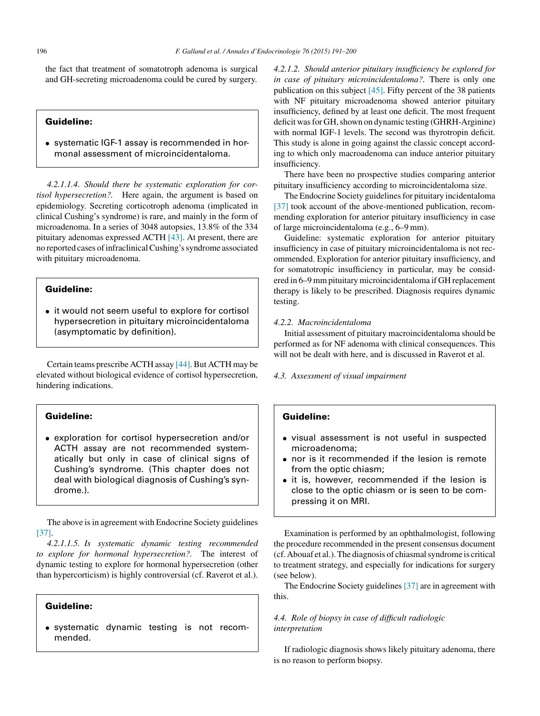the fact that treatment of somatotroph adenoma is surgical and GH-secreting microadenoma could be cured by surgery.

# **Guideline:**

• systematic IGF-1 assay is recommended in hormonal assessment of microincidentaloma.

*4.2.1.1.4. Should there be systematic exploration for cortisol hypersecretion?.* Here again, the argument is based on epidemiology. Secreting corticotroph adenoma (implicated in clinical Cushing's syndrome) is rare, and mainly in the form of microadenoma. In a series of 3048 autopsies, 13.8% of the 334 pituitary adenomas expressed ACTH [\[43\].](#page-9-0) At present, there are no reported cases of infraclinical Cushing's syndrome associated with pituitary microadenoma.

# **Guideline:**

• it would not seem useful to explore for cortisol hypersecretion in pituitary microincidentaloma (asymptomatic by definition).

Certain teams prescribe ACTH assay [\[44\].](#page-9-0) But ACTH may be elevated without biological evidence of cortisol hypersecretion, hindering indications.

# **Guideline:**

• exploration for cortisol hypersecretion and/or ACTH assay are not recommended systematically but only in case of clinical signs of Cushing's syndrome. (This chapter does not deal with biological diagnosis of Cushing's syndrome.).

The above is in agreement with Endocrine Society guidelines [\[37\].](#page-9-0)

*4.2.1.1.5. Is systematic dynamic testing recommended to explore for hormonal hypersecretion?.* The interest of dynamic testing to explore for hormonal hypersecretion (other than hypercorticism) is highly controversial (cf. Raverot et al.).

# **Guideline:**

• systematic dynamic testing is not recommended.

*4.2.1.2. Should anterior pituitary insufficiency be explored for in case of pituitary microincidentaloma?.* There is only one publication on this subject [\[45\].](#page-9-0) Fifty percent of the 38 patients with NF pituitary microadenoma showed anterior pituitary insufficiency, defined by at least one deficit. The most frequent deficit was for GH, shown on dynamic testing (GHRH-Arginine) with normal IGF-1 levels. The second was thyrotropin deficit. This study is alone in going against the classic concept according to which only macroadenoma can induce anterior pituitary insufficiency.

There have been no prospective studies comparing anterior pituitary insufficiency according to microincidentaloma size.

The Endocrine Society guidelines for pituitary incidentaloma [\[37\]](#page-9-0) took account of the above-mentioned publication, recommending exploration for anterior pituitary insufficiency in case of large microincidentaloma (e.g., 6–9 mm).

Guideline: systematic exploration for anterior pituitary insufficiency in case of pituitary microincidentaloma is not recommended. Exploration for anterior pituitary insufficiency, and for somatotropic insufficiency in particular, may be considered in 6–9 mm pituitary microincidentaloma if GH replacement therapy is likely to be prescribed. Diagnosis requires dynamic testing.

### *4.2.2. Macroincidentaloma*

Initial assessment of pituitary macroincidentaloma should be performed as for NF adenoma with clinical consequences. This will not be dealt with here, and is discussed in Raverot et al.

*4.3. Assessment of visual impairment*

# **Guideline:**

- visual assessment is not useful in suspected microadenoma;
- nor is it recommended if the lesion is remote from the optic chiasm;
- it is, however, recommended if the lesion is close to the optic chiasm or is seen to be compressing it on MRI.

Examination is performed by an ophthalmologist, following the procedure recommended in the present consensus document (cf. Abouaf et al.). The diagnosis of chiasmal syndrome is critical to treatment strategy, and especially for indications for surgery (see below).

The Endocrine Society guidelines [\[37\]](#page-9-0) are in agreement with this.

# *4.4. Role of biopsy in case of difficult radiologic interpretation*

If radiologic diagnosis shows likely pituitary adenoma, there is no reason to perform biopsy.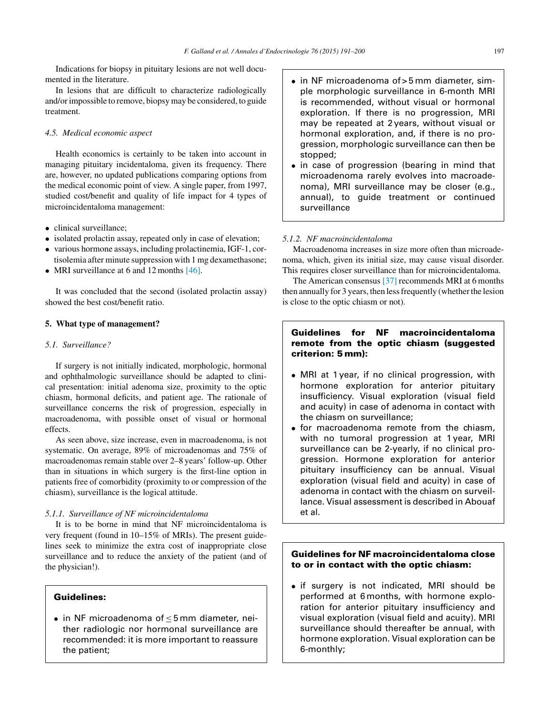Indications for biopsy in pituitary lesions are not well documented in the literature.

In lesions that are difficult to characterize radiologically and/orimpossible to remove, biopsymay be considered, to guide treatment.

# *4.5. Medical economic aspect*

Health economics is certainly to be taken into account in managing pituitary incidentaloma, given its frequency. There are, however, no updated publications comparing options from the medical economic point of view. A single paper, from 1997, studied cost/benefit and quality of life impact for 4 types of microincidentaloma management:

- clinical surveillance;
- isolated prolactin assay, repeated only in case of elevation;
- various hormone assays, including prolactinemia, IGF-1, cortisolemia after minute suppression with 1 mg dexamethasone;
- MRI surveillance at 6 and 12 months [\[46\].](#page-9-0)

It was concluded that the second (isolated prolactin assay) showed the best cost/benefit ratio.

# **5. What type of management?**

# *5.1. Surveillance?*

If surgery is not initially indicated, morphologic, hormonal and ophthalmologic surveillance should be adapted to clinical presentation: initial adenoma size, proximity to the optic chiasm, hormonal deficits, and patient age. The rationale of surveillance concerns the risk of progression, especially in macroadenoma, with possible onset of visual or hormonal effects.

As seen above, size increase, even in macroadenoma, is not systematic. On average, 89% of microadenomas and 75% of macroadenomas remain stable over 2–8 years' follow-up. Other than in situations in which surgery is the first-line option in patients free of comorbidity (proximity to or compression of the chiasm), surveillance is the logical attitude.

### *5.1.1. Surveillance of NF microincidentaloma*

It is to be borne in mind that NF microincidentaloma is very frequent (found in 10–15% of MRIs). The present guidelines seek to minimize the extra cost of inappropriate close surveillance and to reduce the anxiety of the patient (and of the physician!).

# **Guidelines:**

• in NF microadenoma of ≤ 5 mm diameter, neither radiologic nor hormonal surveillance are recommended: it is more important to reassure the patient;

- in NF microadenoma of > 5 mm diameter, simple morphologic surveillance in 6-month MRI is recommended, without visual or hormonal exploration. If there is no progression, MRI may be repeated at 2 years, without visual or hormonal exploration, and, if there is no progression, morphologic surveillance can then be stopped;
- in case of progression (bearing in mind that microadenoma rarely evolves into macroadenoma), MRI surveillance may be closer (e.g., annual), to guide treatment or continued surveillance

### *5.1.2. NF macroincidentaloma*

Macroadenoma increases in size more often than microadenoma, which, given its initial size, may cause visual disorder. This requires closer surveillance than for microincidentaloma.

The American consensus [\[37\]](#page-9-0) recommends MRI at 6 months then annually for 3 years, then less frequently (whether the lesion is close to the optic chiasm or not).

# **Guidelines for NF macroincidentaloma remote from the optic chiasm (suggested criterion: 5 mm):**

- MRI at 1 year, if no clinical progression, with hormone exploration for anterior pituitary insufficiency. Visual exploration (visual field and acuity) in case of adenoma in contact with the chiasm on surveillance;
- for macroadenoma remote from the chiasm, with no tumoral progression at 1 year, MRI surveillance can be 2-yearly, if no clinical progression. Hormone exploration for anterior pituitary insufficiency can be annual. Visual exploration (visual field and acuity) in case of adenoma in contact with the chiasm on surveillance. Visual assessment is described in Abouaf et al.

# **Guidelines for NF macroincidentaloma close to or in contact with the optic chiasm:**

• if surgery is not indicated, MRI should be performed at 6 months, with hormone exploration for anterior pituitary insufficiency and visual exploration (visual field and acuity). MRI surveillance should thereafter be annual, with hormone exploration. Visual exploration can be 6-monthly;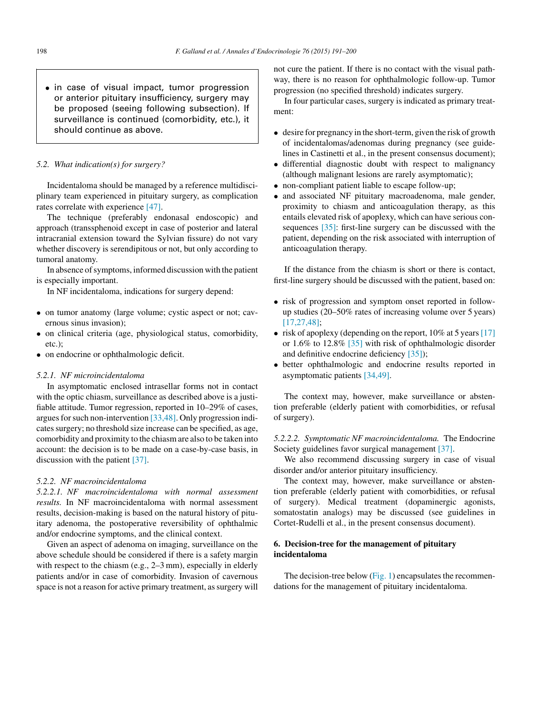• in case of visual impact, tumor progression or anterior pituitary insufficiency, surgery may be proposed (seeing following subsection). If surveillance is continued (comorbidity, etc.), it should continue as above.

### *5.2. What indication(s) for surgery?*

Incidentaloma should be managed by a reference multidisciplinary team experienced in pituitary surgery, as complication rates correlate with experience [\[47\].](#page-9-0)

The technique (preferably endonasal endoscopic) and approach (transsphenoid except in case of posterior and lateral intracranial extension toward the Sylvian fissure) do not vary whether discovery is serendipitous or not, but only according to tumoral anatomy.

In absence of symptoms, informed discussion with the patient is especially important.

In NF incidentaloma, indications for surgery depend:

- on tumor anatomy (large volume; cystic aspect or not; cavernous sinus invasion);
- on clinical criteria (age, physiological status, comorbidity, etc.);
- on endocrine or ophthalmologic deficit.

### *5.2.1. NF microincidentaloma*

In asymptomatic enclosed intrasellar forms not in contact with the optic chiasm, surveillance as described above is a justifiable attitude. Tumor regression, reported in 10–29% of cases, argues for such non-intervention [\[33,48\].](#page-9-0) Only progression indicates surgery; no threshold size increase can be specified, as age, comorbidity and proximity to the chiasm are also to be taken into account: the decision is to be made on a case-by-case basis, in discussion with the patient [\[37\].](#page-9-0)

### *5.2.2. NF macroincidentaloma*

*5.2.2.1. NF macroincidentaloma with normal assessment results.* In NF macroincidentaloma with normal assessment results, decision-making is based on the natural history of pituitary adenoma, the postoperative reversibility of ophthalmic and/or endocrine symptoms, and the clinical context.

Given an aspect of adenoma on imaging, surveillance on the above schedule should be considered if there is a safety margin with respect to the chiasm (e.g., 2–3 mm), especially in elderly patients and/or in case of comorbidity. Invasion of cavernous space is not a reason for active primary treatment, as surgery will not cure the patient. If there is no contact with the visual pathway, there is no reason for ophthalmologic follow-up. Tumor progression (no specified threshold) indicates surgery.

In four particular cases, surgery is indicated as primary treatment:

- desire for pregnancy in the short-term, given the risk of growth of incidentalomas/adenomas during pregnancy (see guidelines in Castinetti et al., in the present consensus document);
- differential diagnostic doubt with respect to malignancy (although malignant lesions are rarely asymptomatic);
- non-compliant patient liable to escape follow-up;
- and associated NF pituitary macroadenoma, male gender, proximity to chiasm and anticoagulation therapy, as this entails elevated risk of apoplexy, which can have serious consequences [\[35\]:](#page-9-0) first-line surgery can be discussed with the patient, depending on the risk associated with interruption of anticoagulation therapy.

If the distance from the chiasm is short or there is contact, first-line surgery should be discussed with the patient, based on:

- risk of progression and symptom onset reported in followup studies (20–50% rates of increasing volume over 5 years) [\[17,27,48\];](#page-8-0)
- risk of apoplexy (depending on the report,  $10\%$  at 5 years [\[17\]](#page-8-0) or 1.6% to 12.8% [\[35\]](#page-9-0) with risk of ophthalmologic disorder and definitive endocrine deficiency [\[35\]\);](#page-9-0)
- better ophthalmologic and endocrine results reported in asymptomatic patients [\[34,49\].](#page-9-0)

The context may, however, make surveillance or abstention preferable (elderly patient with comorbidities, or refusal of surgery).

*5.2.2.2. Symptomatic NF macroincidentaloma.* The Endocrine Society guidelines favor surgical management [\[37\].](#page-9-0)

We also recommend discussing surgery in case of visual disorder and/or anterior pituitary insufficiency.

The context may, however, make surveillance or abstention preferable (elderly patient with comorbidities, or refusal of surgery). Medical treatment (dopaminergic agonists, somatostatin analogs) may be discussed (see guidelines in Cortet-Rudelli et al., in the present consensus document).

# **6. Decision-tree for the management of pituitary incidentaloma**

The decision-tree below  $(Fig. 1)$  $(Fig. 1)$  $(Fig. 1)$  encapsulates the recommendations for the management of pituitary incidentaloma.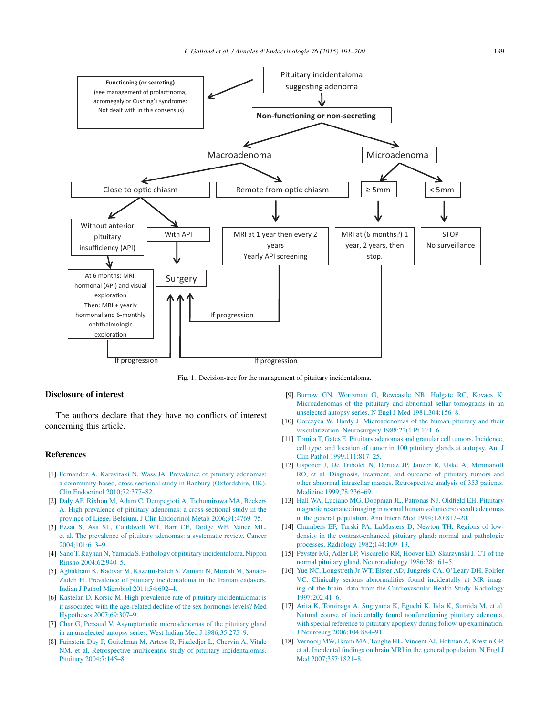<span id="page-8-0"></span>

Fig. 1. Decision-tree for the management of pituitary incidentaloma.

### **Disclosure of interest**

The authors declare that they have no conflicts of interest concerning this article.

### **References**

- [1] [Fernandez](http://refhub.elsevier.com/S0003-4266(15)00097-9/sbref0250) [A,](http://refhub.elsevier.com/S0003-4266(15)00097-9/sbref0250) [Karavitaki](http://refhub.elsevier.com/S0003-4266(15)00097-9/sbref0250) [N,](http://refhub.elsevier.com/S0003-4266(15)00097-9/sbref0250) [Wass](http://refhub.elsevier.com/S0003-4266(15)00097-9/sbref0250) [JA.](http://refhub.elsevier.com/S0003-4266(15)00097-9/sbref0250) [Prevalence](http://refhub.elsevier.com/S0003-4266(15)00097-9/sbref0250) [of](http://refhub.elsevier.com/S0003-4266(15)00097-9/sbref0250) [pituitary](http://refhub.elsevier.com/S0003-4266(15)00097-9/sbref0250) [adenomas:](http://refhub.elsevier.com/S0003-4266(15)00097-9/sbref0250) [a](http://refhub.elsevier.com/S0003-4266(15)00097-9/sbref0250) [community-based,](http://refhub.elsevier.com/S0003-4266(15)00097-9/sbref0250) [cross-sectional](http://refhub.elsevier.com/S0003-4266(15)00097-9/sbref0250) [study](http://refhub.elsevier.com/S0003-4266(15)00097-9/sbref0250) [in](http://refhub.elsevier.com/S0003-4266(15)00097-9/sbref0250) [Banbury](http://refhub.elsevier.com/S0003-4266(15)00097-9/sbref0250) [\(Oxfordshire,](http://refhub.elsevier.com/S0003-4266(15)00097-9/sbref0250) [UK\).](http://refhub.elsevier.com/S0003-4266(15)00097-9/sbref0250) [Clin](http://refhub.elsevier.com/S0003-4266(15)00097-9/sbref0250) [Endocrinol](http://refhub.elsevier.com/S0003-4266(15)00097-9/sbref0250) [2010;72:377](http://refhub.elsevier.com/S0003-4266(15)00097-9/sbref0250)–[82.](http://refhub.elsevier.com/S0003-4266(15)00097-9/sbref0250)
- [2] [Daly](http://refhub.elsevier.com/S0003-4266(15)00097-9/sbref0255) [AF,](http://refhub.elsevier.com/S0003-4266(15)00097-9/sbref0255) [Rixhon](http://refhub.elsevier.com/S0003-4266(15)00097-9/sbref0255) [M,](http://refhub.elsevier.com/S0003-4266(15)00097-9/sbref0255) [Adam](http://refhub.elsevier.com/S0003-4266(15)00097-9/sbref0255) [C,](http://refhub.elsevier.com/S0003-4266(15)00097-9/sbref0255) [Dempegioti](http://refhub.elsevier.com/S0003-4266(15)00097-9/sbref0255) [A,](http://refhub.elsevier.com/S0003-4266(15)00097-9/sbref0255) [Tichomirowa](http://refhub.elsevier.com/S0003-4266(15)00097-9/sbref0255) [MA,](http://refhub.elsevier.com/S0003-4266(15)00097-9/sbref0255) [Beckers](http://refhub.elsevier.com/S0003-4266(15)00097-9/sbref0255) [A.](http://refhub.elsevier.com/S0003-4266(15)00097-9/sbref0255) [High](http://refhub.elsevier.com/S0003-4266(15)00097-9/sbref0255) [prevalence](http://refhub.elsevier.com/S0003-4266(15)00097-9/sbref0255) [of](http://refhub.elsevier.com/S0003-4266(15)00097-9/sbref0255) [pituitary](http://refhub.elsevier.com/S0003-4266(15)00097-9/sbref0255) [adenomas:](http://refhub.elsevier.com/S0003-4266(15)00097-9/sbref0255) [a](http://refhub.elsevier.com/S0003-4266(15)00097-9/sbref0255) [cross-sectional](http://refhub.elsevier.com/S0003-4266(15)00097-9/sbref0255) [study](http://refhub.elsevier.com/S0003-4266(15)00097-9/sbref0255) [in](http://refhub.elsevier.com/S0003-4266(15)00097-9/sbref0255) [the](http://refhub.elsevier.com/S0003-4266(15)00097-9/sbref0255) [province](http://refhub.elsevier.com/S0003-4266(15)00097-9/sbref0255) [of](http://refhub.elsevier.com/S0003-4266(15)00097-9/sbref0255) [Liege,](http://refhub.elsevier.com/S0003-4266(15)00097-9/sbref0255) [Belgium.](http://refhub.elsevier.com/S0003-4266(15)00097-9/sbref0255) [J](http://refhub.elsevier.com/S0003-4266(15)00097-9/sbref0255) [Clin](http://refhub.elsevier.com/S0003-4266(15)00097-9/sbref0255) [Endocrinol](http://refhub.elsevier.com/S0003-4266(15)00097-9/sbref0255) [Metab](http://refhub.elsevier.com/S0003-4266(15)00097-9/sbref0255) [2006;91:4769–75.](http://refhub.elsevier.com/S0003-4266(15)00097-9/sbref0255)
- [3] [Ezzat](http://refhub.elsevier.com/S0003-4266(15)00097-9/sbref0260) [S,](http://refhub.elsevier.com/S0003-4266(15)00097-9/sbref0260) [Asa](http://refhub.elsevier.com/S0003-4266(15)00097-9/sbref0260) [SL,](http://refhub.elsevier.com/S0003-4266(15)00097-9/sbref0260) [Couldwell](http://refhub.elsevier.com/S0003-4266(15)00097-9/sbref0260) [WT,](http://refhub.elsevier.com/S0003-4266(15)00097-9/sbref0260) [Barr](http://refhub.elsevier.com/S0003-4266(15)00097-9/sbref0260) [CE,](http://refhub.elsevier.com/S0003-4266(15)00097-9/sbref0260) [Dodge](http://refhub.elsevier.com/S0003-4266(15)00097-9/sbref0260) [WE,](http://refhub.elsevier.com/S0003-4266(15)00097-9/sbref0260) [Vance](http://refhub.elsevier.com/S0003-4266(15)00097-9/sbref0260) [ML,](http://refhub.elsevier.com/S0003-4266(15)00097-9/sbref0260) [et](http://refhub.elsevier.com/S0003-4266(15)00097-9/sbref0260) [al.](http://refhub.elsevier.com/S0003-4266(15)00097-9/sbref0260) [The](http://refhub.elsevier.com/S0003-4266(15)00097-9/sbref0260) [prevalence](http://refhub.elsevier.com/S0003-4266(15)00097-9/sbref0260) [of](http://refhub.elsevier.com/S0003-4266(15)00097-9/sbref0260) [pituitary](http://refhub.elsevier.com/S0003-4266(15)00097-9/sbref0260) [adenomas:](http://refhub.elsevier.com/S0003-4266(15)00097-9/sbref0260) [a](http://refhub.elsevier.com/S0003-4266(15)00097-9/sbref0260) [systematic](http://refhub.elsevier.com/S0003-4266(15)00097-9/sbref0260) [review.](http://refhub.elsevier.com/S0003-4266(15)00097-9/sbref0260) [Cancer](http://refhub.elsevier.com/S0003-4266(15)00097-9/sbref0260) [2004;101:613–9.](http://refhub.elsevier.com/S0003-4266(15)00097-9/sbref0260)
- [4] [SanoT,Rayhan](http://refhub.elsevier.com/S0003-4266(15)00097-9/sbref0265) [N,](http://refhub.elsevier.com/S0003-4266(15)00097-9/sbref0265) [Yamada](http://refhub.elsevier.com/S0003-4266(15)00097-9/sbref0265) [S.](http://refhub.elsevier.com/S0003-4266(15)00097-9/sbref0265) [Pathology](http://refhub.elsevier.com/S0003-4266(15)00097-9/sbref0265) [of](http://refhub.elsevier.com/S0003-4266(15)00097-9/sbref0265) [pituitary](http://refhub.elsevier.com/S0003-4266(15)00097-9/sbref0265) [incidentaloma.](http://refhub.elsevier.com/S0003-4266(15)00097-9/sbref0265) [Nippon](http://refhub.elsevier.com/S0003-4266(15)00097-9/sbref0265) [Rinsho](http://refhub.elsevier.com/S0003-4266(15)00097-9/sbref0265) [2004;62:940–5.](http://refhub.elsevier.com/S0003-4266(15)00097-9/sbref0265)
- [5] [Aghakhani](http://refhub.elsevier.com/S0003-4266(15)00097-9/sbref0270) [K,](http://refhub.elsevier.com/S0003-4266(15)00097-9/sbref0270) [Kadivar](http://refhub.elsevier.com/S0003-4266(15)00097-9/sbref0270) [M,](http://refhub.elsevier.com/S0003-4266(15)00097-9/sbref0270) [Kazemi-Esfeh](http://refhub.elsevier.com/S0003-4266(15)00097-9/sbref0270) [S,](http://refhub.elsevier.com/S0003-4266(15)00097-9/sbref0270) [Zamani](http://refhub.elsevier.com/S0003-4266(15)00097-9/sbref0270) [N,](http://refhub.elsevier.com/S0003-4266(15)00097-9/sbref0270) [Moradi](http://refhub.elsevier.com/S0003-4266(15)00097-9/sbref0270) [M,](http://refhub.elsevier.com/S0003-4266(15)00097-9/sbref0270) [Sanaei-](http://refhub.elsevier.com/S0003-4266(15)00097-9/sbref0270)[Zadeh](http://refhub.elsevier.com/S0003-4266(15)00097-9/sbref0270) [H.](http://refhub.elsevier.com/S0003-4266(15)00097-9/sbref0270) [Prevalence](http://refhub.elsevier.com/S0003-4266(15)00097-9/sbref0270) [of](http://refhub.elsevier.com/S0003-4266(15)00097-9/sbref0270) [pituitary](http://refhub.elsevier.com/S0003-4266(15)00097-9/sbref0270) [incidentaloma](http://refhub.elsevier.com/S0003-4266(15)00097-9/sbref0270) [in](http://refhub.elsevier.com/S0003-4266(15)00097-9/sbref0270) [the](http://refhub.elsevier.com/S0003-4266(15)00097-9/sbref0270) [Iranian](http://refhub.elsevier.com/S0003-4266(15)00097-9/sbref0270) [cadavers.](http://refhub.elsevier.com/S0003-4266(15)00097-9/sbref0270) [Indian](http://refhub.elsevier.com/S0003-4266(15)00097-9/sbref0270) [J](http://refhub.elsevier.com/S0003-4266(15)00097-9/sbref0270) [Pathol](http://refhub.elsevier.com/S0003-4266(15)00097-9/sbref0270) [Microbiol](http://refhub.elsevier.com/S0003-4266(15)00097-9/sbref0270) [2011;54:692–4.](http://refhub.elsevier.com/S0003-4266(15)00097-9/sbref0270)
- [6] [Kastelan](http://refhub.elsevier.com/S0003-4266(15)00097-9/sbref0275) [D,](http://refhub.elsevier.com/S0003-4266(15)00097-9/sbref0275) [Korsic](http://refhub.elsevier.com/S0003-4266(15)00097-9/sbref0275) [M.](http://refhub.elsevier.com/S0003-4266(15)00097-9/sbref0275) [High](http://refhub.elsevier.com/S0003-4266(15)00097-9/sbref0275) [prevalence](http://refhub.elsevier.com/S0003-4266(15)00097-9/sbref0275) [rate](http://refhub.elsevier.com/S0003-4266(15)00097-9/sbref0275) [of](http://refhub.elsevier.com/S0003-4266(15)00097-9/sbref0275) [pituitary](http://refhub.elsevier.com/S0003-4266(15)00097-9/sbref0275) [incidentaloma:](http://refhub.elsevier.com/S0003-4266(15)00097-9/sbref0275) [is](http://refhub.elsevier.com/S0003-4266(15)00097-9/sbref0275) [it](http://refhub.elsevier.com/S0003-4266(15)00097-9/sbref0275) [associated](http://refhub.elsevier.com/S0003-4266(15)00097-9/sbref0275) [with](http://refhub.elsevier.com/S0003-4266(15)00097-9/sbref0275) [the](http://refhub.elsevier.com/S0003-4266(15)00097-9/sbref0275) [age-related](http://refhub.elsevier.com/S0003-4266(15)00097-9/sbref0275) [decline](http://refhub.elsevier.com/S0003-4266(15)00097-9/sbref0275) [of](http://refhub.elsevier.com/S0003-4266(15)00097-9/sbref0275) [the](http://refhub.elsevier.com/S0003-4266(15)00097-9/sbref0275) [sex](http://refhub.elsevier.com/S0003-4266(15)00097-9/sbref0275) [hormones](http://refhub.elsevier.com/S0003-4266(15)00097-9/sbref0275) [levels?](http://refhub.elsevier.com/S0003-4266(15)00097-9/sbref0275) [Med](http://refhub.elsevier.com/S0003-4266(15)00097-9/sbref0275) [Hypotheses](http://refhub.elsevier.com/S0003-4266(15)00097-9/sbref0275) [2007;69:307–9.](http://refhub.elsevier.com/S0003-4266(15)00097-9/sbref0275)
- [7] [Char](http://refhub.elsevier.com/S0003-4266(15)00097-9/sbref0280) [G,](http://refhub.elsevier.com/S0003-4266(15)00097-9/sbref0280) [Persaud](http://refhub.elsevier.com/S0003-4266(15)00097-9/sbref0280) [V.](http://refhub.elsevier.com/S0003-4266(15)00097-9/sbref0280) [Asymptomatic](http://refhub.elsevier.com/S0003-4266(15)00097-9/sbref0280) [microadenomas](http://refhub.elsevier.com/S0003-4266(15)00097-9/sbref0280) [of](http://refhub.elsevier.com/S0003-4266(15)00097-9/sbref0280) [the](http://refhub.elsevier.com/S0003-4266(15)00097-9/sbref0280) [pituitary](http://refhub.elsevier.com/S0003-4266(15)00097-9/sbref0280) [gland](http://refhub.elsevier.com/S0003-4266(15)00097-9/sbref0280) [in](http://refhub.elsevier.com/S0003-4266(15)00097-9/sbref0280) [an](http://refhub.elsevier.com/S0003-4266(15)00097-9/sbref0280) [unselected](http://refhub.elsevier.com/S0003-4266(15)00097-9/sbref0280) [autopsy](http://refhub.elsevier.com/S0003-4266(15)00097-9/sbref0280) [series.](http://refhub.elsevier.com/S0003-4266(15)00097-9/sbref0280) [West](http://refhub.elsevier.com/S0003-4266(15)00097-9/sbref0280) [Indian](http://refhub.elsevier.com/S0003-4266(15)00097-9/sbref0280) [Med](http://refhub.elsevier.com/S0003-4266(15)00097-9/sbref0280) [J](http://refhub.elsevier.com/S0003-4266(15)00097-9/sbref0280) [1986;35:275–9.](http://refhub.elsevier.com/S0003-4266(15)00097-9/sbref0280)
- [8] [Fainstein](http://refhub.elsevier.com/S0003-4266(15)00097-9/sbref0285) [Day](http://refhub.elsevier.com/S0003-4266(15)00097-9/sbref0285) [P,](http://refhub.elsevier.com/S0003-4266(15)00097-9/sbref0285) [Guitelman](http://refhub.elsevier.com/S0003-4266(15)00097-9/sbref0285) [M,](http://refhub.elsevier.com/S0003-4266(15)00097-9/sbref0285) [Artese](http://refhub.elsevier.com/S0003-4266(15)00097-9/sbref0285) [R,](http://refhub.elsevier.com/S0003-4266(15)00097-9/sbref0285) [Fiszledjer](http://refhub.elsevier.com/S0003-4266(15)00097-9/sbref0285) [L,](http://refhub.elsevier.com/S0003-4266(15)00097-9/sbref0285) [Chervin](http://refhub.elsevier.com/S0003-4266(15)00097-9/sbref0285) [A,](http://refhub.elsevier.com/S0003-4266(15)00097-9/sbref0285) [Vitale](http://refhub.elsevier.com/S0003-4266(15)00097-9/sbref0285) [NM,](http://refhub.elsevier.com/S0003-4266(15)00097-9/sbref0285) [et](http://refhub.elsevier.com/S0003-4266(15)00097-9/sbref0285) [al.](http://refhub.elsevier.com/S0003-4266(15)00097-9/sbref0285) [Retrospective](http://refhub.elsevier.com/S0003-4266(15)00097-9/sbref0285) [multicentric](http://refhub.elsevier.com/S0003-4266(15)00097-9/sbref0285) [study](http://refhub.elsevier.com/S0003-4266(15)00097-9/sbref0285) [of](http://refhub.elsevier.com/S0003-4266(15)00097-9/sbref0285) [pituitary](http://refhub.elsevier.com/S0003-4266(15)00097-9/sbref0285) [incidentalomas.](http://refhub.elsevier.com/S0003-4266(15)00097-9/sbref0285) [Pituitary](http://refhub.elsevier.com/S0003-4266(15)00097-9/sbref0285) [2004;7:145](http://refhub.elsevier.com/S0003-4266(15)00097-9/sbref0285)–[8.](http://refhub.elsevier.com/S0003-4266(15)00097-9/sbref0285)
- [9] [Burrow](http://refhub.elsevier.com/S0003-4266(15)00097-9/sbref0290) [GN,](http://refhub.elsevier.com/S0003-4266(15)00097-9/sbref0290) [Wortzman](http://refhub.elsevier.com/S0003-4266(15)00097-9/sbref0290) [G,](http://refhub.elsevier.com/S0003-4266(15)00097-9/sbref0290) [Rewcastle](http://refhub.elsevier.com/S0003-4266(15)00097-9/sbref0290) [NB,](http://refhub.elsevier.com/S0003-4266(15)00097-9/sbref0290) [Holgate](http://refhub.elsevier.com/S0003-4266(15)00097-9/sbref0290) [RC,](http://refhub.elsevier.com/S0003-4266(15)00097-9/sbref0290) [Kovacs](http://refhub.elsevier.com/S0003-4266(15)00097-9/sbref0290) [K.](http://refhub.elsevier.com/S0003-4266(15)00097-9/sbref0290) [Microadenomas](http://refhub.elsevier.com/S0003-4266(15)00097-9/sbref0290) [of](http://refhub.elsevier.com/S0003-4266(15)00097-9/sbref0290) [the](http://refhub.elsevier.com/S0003-4266(15)00097-9/sbref0290) [pituitary](http://refhub.elsevier.com/S0003-4266(15)00097-9/sbref0290) [and](http://refhub.elsevier.com/S0003-4266(15)00097-9/sbref0290) [abnormal](http://refhub.elsevier.com/S0003-4266(15)00097-9/sbref0290) [sellar](http://refhub.elsevier.com/S0003-4266(15)00097-9/sbref0290) [tomograms](http://refhub.elsevier.com/S0003-4266(15)00097-9/sbref0290) [in](http://refhub.elsevier.com/S0003-4266(15)00097-9/sbref0290) [an](http://refhub.elsevier.com/S0003-4266(15)00097-9/sbref0290) [unselected](http://refhub.elsevier.com/S0003-4266(15)00097-9/sbref0290) [autopsy](http://refhub.elsevier.com/S0003-4266(15)00097-9/sbref0290) [series.](http://refhub.elsevier.com/S0003-4266(15)00097-9/sbref0290) [N](http://refhub.elsevier.com/S0003-4266(15)00097-9/sbref0290) [Engl](http://refhub.elsevier.com/S0003-4266(15)00097-9/sbref0290) [J](http://refhub.elsevier.com/S0003-4266(15)00097-9/sbref0290) [Med](http://refhub.elsevier.com/S0003-4266(15)00097-9/sbref0290) [1981;304:156–8.](http://refhub.elsevier.com/S0003-4266(15)00097-9/sbref0290)
- [10] [Gorczyca](http://refhub.elsevier.com/S0003-4266(15)00097-9/sbref0295) [W,](http://refhub.elsevier.com/S0003-4266(15)00097-9/sbref0295) [Hardy](http://refhub.elsevier.com/S0003-4266(15)00097-9/sbref0295) [J.](http://refhub.elsevier.com/S0003-4266(15)00097-9/sbref0295) [Microadenomas](http://refhub.elsevier.com/S0003-4266(15)00097-9/sbref0295) [of](http://refhub.elsevier.com/S0003-4266(15)00097-9/sbref0295) [the](http://refhub.elsevier.com/S0003-4266(15)00097-9/sbref0295) [human](http://refhub.elsevier.com/S0003-4266(15)00097-9/sbref0295) [pituitary](http://refhub.elsevier.com/S0003-4266(15)00097-9/sbref0295) [and](http://refhub.elsevier.com/S0003-4266(15)00097-9/sbref0295) [their](http://refhub.elsevier.com/S0003-4266(15)00097-9/sbref0295) [vascularization.](http://refhub.elsevier.com/S0003-4266(15)00097-9/sbref0295) [Neurosurgery](http://refhub.elsevier.com/S0003-4266(15)00097-9/sbref0295) [1988;22\(1](http://refhub.elsevier.com/S0003-4266(15)00097-9/sbref0295) [Pt](http://refhub.elsevier.com/S0003-4266(15)00097-9/sbref0295) [1\):1–6.](http://refhub.elsevier.com/S0003-4266(15)00097-9/sbref0295)
- [11] [Tomita](http://refhub.elsevier.com/S0003-4266(15)00097-9/sbref0300) [T,](http://refhub.elsevier.com/S0003-4266(15)00097-9/sbref0300) [Gates](http://refhub.elsevier.com/S0003-4266(15)00097-9/sbref0300) [E.](http://refhub.elsevier.com/S0003-4266(15)00097-9/sbref0300) [Pituitary](http://refhub.elsevier.com/S0003-4266(15)00097-9/sbref0300) [adenomas](http://refhub.elsevier.com/S0003-4266(15)00097-9/sbref0300) [and](http://refhub.elsevier.com/S0003-4266(15)00097-9/sbref0300) [granular](http://refhub.elsevier.com/S0003-4266(15)00097-9/sbref0300) [cell](http://refhub.elsevier.com/S0003-4266(15)00097-9/sbref0300) [tumors.](http://refhub.elsevier.com/S0003-4266(15)00097-9/sbref0300) [Incidence,](http://refhub.elsevier.com/S0003-4266(15)00097-9/sbref0300) [cell](http://refhub.elsevier.com/S0003-4266(15)00097-9/sbref0300) [type,](http://refhub.elsevier.com/S0003-4266(15)00097-9/sbref0300) [and](http://refhub.elsevier.com/S0003-4266(15)00097-9/sbref0300) [location](http://refhub.elsevier.com/S0003-4266(15)00097-9/sbref0300) [of](http://refhub.elsevier.com/S0003-4266(15)00097-9/sbref0300) [tumor](http://refhub.elsevier.com/S0003-4266(15)00097-9/sbref0300) [in](http://refhub.elsevier.com/S0003-4266(15)00097-9/sbref0300) [100](http://refhub.elsevier.com/S0003-4266(15)00097-9/sbref0300) [pituitary](http://refhub.elsevier.com/S0003-4266(15)00097-9/sbref0300) [glands](http://refhub.elsevier.com/S0003-4266(15)00097-9/sbref0300) [at](http://refhub.elsevier.com/S0003-4266(15)00097-9/sbref0300) [autopsy.](http://refhub.elsevier.com/S0003-4266(15)00097-9/sbref0300) [Am](http://refhub.elsevier.com/S0003-4266(15)00097-9/sbref0300) [J](http://refhub.elsevier.com/S0003-4266(15)00097-9/sbref0300) [Clin](http://refhub.elsevier.com/S0003-4266(15)00097-9/sbref0300) [Pathol](http://refhub.elsevier.com/S0003-4266(15)00097-9/sbref0300) [1999;111:817–25.](http://refhub.elsevier.com/S0003-4266(15)00097-9/sbref0300)
- [12] [Gsponer](http://refhub.elsevier.com/S0003-4266(15)00097-9/sbref0305) [J,](http://refhub.elsevier.com/S0003-4266(15)00097-9/sbref0305) [De](http://refhub.elsevier.com/S0003-4266(15)00097-9/sbref0305) [Tribolet](http://refhub.elsevier.com/S0003-4266(15)00097-9/sbref0305) [N,](http://refhub.elsevier.com/S0003-4266(15)00097-9/sbref0305) [Deruaz](http://refhub.elsevier.com/S0003-4266(15)00097-9/sbref0305) [JP,](http://refhub.elsevier.com/S0003-4266(15)00097-9/sbref0305) [Janzer](http://refhub.elsevier.com/S0003-4266(15)00097-9/sbref0305) [R,](http://refhub.elsevier.com/S0003-4266(15)00097-9/sbref0305) [Uske](http://refhub.elsevier.com/S0003-4266(15)00097-9/sbref0305) [A,](http://refhub.elsevier.com/S0003-4266(15)00097-9/sbref0305) [Mirimanoff](http://refhub.elsevier.com/S0003-4266(15)00097-9/sbref0305) [RO,](http://refhub.elsevier.com/S0003-4266(15)00097-9/sbref0305) [et](http://refhub.elsevier.com/S0003-4266(15)00097-9/sbref0305) [al.](http://refhub.elsevier.com/S0003-4266(15)00097-9/sbref0305) [Diagnosis,](http://refhub.elsevier.com/S0003-4266(15)00097-9/sbref0305) [treatment,](http://refhub.elsevier.com/S0003-4266(15)00097-9/sbref0305) [and](http://refhub.elsevier.com/S0003-4266(15)00097-9/sbref0305) [outcome](http://refhub.elsevier.com/S0003-4266(15)00097-9/sbref0305) [of](http://refhub.elsevier.com/S0003-4266(15)00097-9/sbref0305) [pituitary](http://refhub.elsevier.com/S0003-4266(15)00097-9/sbref0305) [tumors](http://refhub.elsevier.com/S0003-4266(15)00097-9/sbref0305) [and](http://refhub.elsevier.com/S0003-4266(15)00097-9/sbref0305) [other](http://refhub.elsevier.com/S0003-4266(15)00097-9/sbref0305) [abnormal](http://refhub.elsevier.com/S0003-4266(15)00097-9/sbref0305) [intrasellar](http://refhub.elsevier.com/S0003-4266(15)00097-9/sbref0305) [masses.](http://refhub.elsevier.com/S0003-4266(15)00097-9/sbref0305) [Retrospective](http://refhub.elsevier.com/S0003-4266(15)00097-9/sbref0305) [analysis](http://refhub.elsevier.com/S0003-4266(15)00097-9/sbref0305) [of](http://refhub.elsevier.com/S0003-4266(15)00097-9/sbref0305) [353](http://refhub.elsevier.com/S0003-4266(15)00097-9/sbref0305) [patients.](http://refhub.elsevier.com/S0003-4266(15)00097-9/sbref0305) [Medicine](http://refhub.elsevier.com/S0003-4266(15)00097-9/sbref0305) [1999;78:236–69.](http://refhub.elsevier.com/S0003-4266(15)00097-9/sbref0305)
- [13] [Hall](http://refhub.elsevier.com/S0003-4266(15)00097-9/sbref0310) [WA,](http://refhub.elsevier.com/S0003-4266(15)00097-9/sbref0310) [Luciano](http://refhub.elsevier.com/S0003-4266(15)00097-9/sbref0310) [MG,](http://refhub.elsevier.com/S0003-4266(15)00097-9/sbref0310) [Doppman](http://refhub.elsevier.com/S0003-4266(15)00097-9/sbref0310) [JL,](http://refhub.elsevier.com/S0003-4266(15)00097-9/sbref0310) [Patronas](http://refhub.elsevier.com/S0003-4266(15)00097-9/sbref0310) [NJ,](http://refhub.elsevier.com/S0003-4266(15)00097-9/sbref0310) [Oldfield](http://refhub.elsevier.com/S0003-4266(15)00097-9/sbref0310) [EH.](http://refhub.elsevier.com/S0003-4266(15)00097-9/sbref0310) [Pituitary](http://refhub.elsevier.com/S0003-4266(15)00097-9/sbref0310) [magnetic](http://refhub.elsevier.com/S0003-4266(15)00097-9/sbref0310) [resonance](http://refhub.elsevier.com/S0003-4266(15)00097-9/sbref0310) [imaging](http://refhub.elsevier.com/S0003-4266(15)00097-9/sbref0310) [in](http://refhub.elsevier.com/S0003-4266(15)00097-9/sbref0310) [normal](http://refhub.elsevier.com/S0003-4266(15)00097-9/sbref0310) [human](http://refhub.elsevier.com/S0003-4266(15)00097-9/sbref0310) [volunteers:](http://refhub.elsevier.com/S0003-4266(15)00097-9/sbref0310) [occult](http://refhub.elsevier.com/S0003-4266(15)00097-9/sbref0310) [adenomas](http://refhub.elsevier.com/S0003-4266(15)00097-9/sbref0310) [in](http://refhub.elsevier.com/S0003-4266(15)00097-9/sbref0310) [the](http://refhub.elsevier.com/S0003-4266(15)00097-9/sbref0310) [general](http://refhub.elsevier.com/S0003-4266(15)00097-9/sbref0310) [population.](http://refhub.elsevier.com/S0003-4266(15)00097-9/sbref0310) [Ann](http://refhub.elsevier.com/S0003-4266(15)00097-9/sbref0310) [Intern](http://refhub.elsevier.com/S0003-4266(15)00097-9/sbref0310) [Med](http://refhub.elsevier.com/S0003-4266(15)00097-9/sbref0310) [1994;120:817](http://refhub.elsevier.com/S0003-4266(15)00097-9/sbref0310)–[20.](http://refhub.elsevier.com/S0003-4266(15)00097-9/sbref0310)
- [14] [Chambers](http://refhub.elsevier.com/S0003-4266(15)00097-9/sbref0315) [EF,](http://refhub.elsevier.com/S0003-4266(15)00097-9/sbref0315) [Turski](http://refhub.elsevier.com/S0003-4266(15)00097-9/sbref0315) [PA,](http://refhub.elsevier.com/S0003-4266(15)00097-9/sbref0315) [LaMasters](http://refhub.elsevier.com/S0003-4266(15)00097-9/sbref0315) [D,](http://refhub.elsevier.com/S0003-4266(15)00097-9/sbref0315) [Newton](http://refhub.elsevier.com/S0003-4266(15)00097-9/sbref0315) [TH.](http://refhub.elsevier.com/S0003-4266(15)00097-9/sbref0315) [Regions](http://refhub.elsevier.com/S0003-4266(15)00097-9/sbref0315) [of](http://refhub.elsevier.com/S0003-4266(15)00097-9/sbref0315) [low](http://refhub.elsevier.com/S0003-4266(15)00097-9/sbref0315)[density](http://refhub.elsevier.com/S0003-4266(15)00097-9/sbref0315) [in](http://refhub.elsevier.com/S0003-4266(15)00097-9/sbref0315) [the](http://refhub.elsevier.com/S0003-4266(15)00097-9/sbref0315) [contrast-enhanced](http://refhub.elsevier.com/S0003-4266(15)00097-9/sbref0315) [pituitary](http://refhub.elsevier.com/S0003-4266(15)00097-9/sbref0315) [gland:](http://refhub.elsevier.com/S0003-4266(15)00097-9/sbref0315) [normal](http://refhub.elsevier.com/S0003-4266(15)00097-9/sbref0315) [and](http://refhub.elsevier.com/S0003-4266(15)00097-9/sbref0315) [pathologic](http://refhub.elsevier.com/S0003-4266(15)00097-9/sbref0315) [processes.](http://refhub.elsevier.com/S0003-4266(15)00097-9/sbref0315) [Radiology](http://refhub.elsevier.com/S0003-4266(15)00097-9/sbref0315) [1982;144:109](http://refhub.elsevier.com/S0003-4266(15)00097-9/sbref0315)–[13.](http://refhub.elsevier.com/S0003-4266(15)00097-9/sbref0315)
- [15] [Peyster](http://refhub.elsevier.com/S0003-4266(15)00097-9/sbref0320) [RG,](http://refhub.elsevier.com/S0003-4266(15)00097-9/sbref0320) [Adler](http://refhub.elsevier.com/S0003-4266(15)00097-9/sbref0320) [LP,](http://refhub.elsevier.com/S0003-4266(15)00097-9/sbref0320) [Viscarello](http://refhub.elsevier.com/S0003-4266(15)00097-9/sbref0320) [RR,](http://refhub.elsevier.com/S0003-4266(15)00097-9/sbref0320) [Hoover](http://refhub.elsevier.com/S0003-4266(15)00097-9/sbref0320) [ED,](http://refhub.elsevier.com/S0003-4266(15)00097-9/sbref0320) [Skarzynski](http://refhub.elsevier.com/S0003-4266(15)00097-9/sbref0320) [J.](http://refhub.elsevier.com/S0003-4266(15)00097-9/sbref0320) [CT](http://refhub.elsevier.com/S0003-4266(15)00097-9/sbref0320) [of](http://refhub.elsevier.com/S0003-4266(15)00097-9/sbref0320) [the](http://refhub.elsevier.com/S0003-4266(15)00097-9/sbref0320) [normal](http://refhub.elsevier.com/S0003-4266(15)00097-9/sbref0320) [pituitary](http://refhub.elsevier.com/S0003-4266(15)00097-9/sbref0320) [gland.](http://refhub.elsevier.com/S0003-4266(15)00097-9/sbref0320) [Neuroradiology](http://refhub.elsevier.com/S0003-4266(15)00097-9/sbref0320) [1986;28:161](http://refhub.elsevier.com/S0003-4266(15)00097-9/sbref0320)–[5.](http://refhub.elsevier.com/S0003-4266(15)00097-9/sbref0320)
- [16] [Yue](http://refhub.elsevier.com/S0003-4266(15)00097-9/sbref0325) [NC,](http://refhub.elsevier.com/S0003-4266(15)00097-9/sbref0325) [Longstreth](http://refhub.elsevier.com/S0003-4266(15)00097-9/sbref0325) [Jr](http://refhub.elsevier.com/S0003-4266(15)00097-9/sbref0325) [WT,](http://refhub.elsevier.com/S0003-4266(15)00097-9/sbref0325) [Elster](http://refhub.elsevier.com/S0003-4266(15)00097-9/sbref0325) [AD,](http://refhub.elsevier.com/S0003-4266(15)00097-9/sbref0325) [Jungreis](http://refhub.elsevier.com/S0003-4266(15)00097-9/sbref0325) [CA,](http://refhub.elsevier.com/S0003-4266(15)00097-9/sbref0325) [O'Leary](http://refhub.elsevier.com/S0003-4266(15)00097-9/sbref0325) [DH,](http://refhub.elsevier.com/S0003-4266(15)00097-9/sbref0325) [Poirier](http://refhub.elsevier.com/S0003-4266(15)00097-9/sbref0325) [VC.](http://refhub.elsevier.com/S0003-4266(15)00097-9/sbref0325) [Clinically](http://refhub.elsevier.com/S0003-4266(15)00097-9/sbref0325) [serious](http://refhub.elsevier.com/S0003-4266(15)00097-9/sbref0325) [abnormalities](http://refhub.elsevier.com/S0003-4266(15)00097-9/sbref0325) [found](http://refhub.elsevier.com/S0003-4266(15)00097-9/sbref0325) [incidentally](http://refhub.elsevier.com/S0003-4266(15)00097-9/sbref0325) [at](http://refhub.elsevier.com/S0003-4266(15)00097-9/sbref0325) [MR](http://refhub.elsevier.com/S0003-4266(15)00097-9/sbref0325) [imag](http://refhub.elsevier.com/S0003-4266(15)00097-9/sbref0325)[ing](http://refhub.elsevier.com/S0003-4266(15)00097-9/sbref0325) [of](http://refhub.elsevier.com/S0003-4266(15)00097-9/sbref0325) [the](http://refhub.elsevier.com/S0003-4266(15)00097-9/sbref0325) [brain:](http://refhub.elsevier.com/S0003-4266(15)00097-9/sbref0325) [data](http://refhub.elsevier.com/S0003-4266(15)00097-9/sbref0325) [from](http://refhub.elsevier.com/S0003-4266(15)00097-9/sbref0325) [the](http://refhub.elsevier.com/S0003-4266(15)00097-9/sbref0325) [Cardiovascular](http://refhub.elsevier.com/S0003-4266(15)00097-9/sbref0325) [Health](http://refhub.elsevier.com/S0003-4266(15)00097-9/sbref0325) [Study.](http://refhub.elsevier.com/S0003-4266(15)00097-9/sbref0325) [Radiology](http://refhub.elsevier.com/S0003-4266(15)00097-9/sbref0325) [1997;202:41–6.](http://refhub.elsevier.com/S0003-4266(15)00097-9/sbref0325)
- [17] [Arita](http://refhub.elsevier.com/S0003-4266(15)00097-9/sbref0330) [K,](http://refhub.elsevier.com/S0003-4266(15)00097-9/sbref0330) [Tominaga](http://refhub.elsevier.com/S0003-4266(15)00097-9/sbref0330) [A,](http://refhub.elsevier.com/S0003-4266(15)00097-9/sbref0330) [Sugiyama](http://refhub.elsevier.com/S0003-4266(15)00097-9/sbref0330) [K,](http://refhub.elsevier.com/S0003-4266(15)00097-9/sbref0330) [Eguchi](http://refhub.elsevier.com/S0003-4266(15)00097-9/sbref0330) [K,](http://refhub.elsevier.com/S0003-4266(15)00097-9/sbref0330) [Iida](http://refhub.elsevier.com/S0003-4266(15)00097-9/sbref0330) [K,](http://refhub.elsevier.com/S0003-4266(15)00097-9/sbref0330) [Sumida](http://refhub.elsevier.com/S0003-4266(15)00097-9/sbref0330) [M,](http://refhub.elsevier.com/S0003-4266(15)00097-9/sbref0330) [et](http://refhub.elsevier.com/S0003-4266(15)00097-9/sbref0330) [al.](http://refhub.elsevier.com/S0003-4266(15)00097-9/sbref0330) [Natural](http://refhub.elsevier.com/S0003-4266(15)00097-9/sbref0330) [course](http://refhub.elsevier.com/S0003-4266(15)00097-9/sbref0330) [of](http://refhub.elsevier.com/S0003-4266(15)00097-9/sbref0330) [incidentally](http://refhub.elsevier.com/S0003-4266(15)00097-9/sbref0330) [found](http://refhub.elsevier.com/S0003-4266(15)00097-9/sbref0330) [nonfunctioning](http://refhub.elsevier.com/S0003-4266(15)00097-9/sbref0330) [pituitary](http://refhub.elsevier.com/S0003-4266(15)00097-9/sbref0330) [adenoma,](http://refhub.elsevier.com/S0003-4266(15)00097-9/sbref0330) [with](http://refhub.elsevier.com/S0003-4266(15)00097-9/sbref0330) [special](http://refhub.elsevier.com/S0003-4266(15)00097-9/sbref0330) [reference](http://refhub.elsevier.com/S0003-4266(15)00097-9/sbref0330) [to](http://refhub.elsevier.com/S0003-4266(15)00097-9/sbref0330) [pituitary](http://refhub.elsevier.com/S0003-4266(15)00097-9/sbref0330) [apoplexy](http://refhub.elsevier.com/S0003-4266(15)00097-9/sbref0330) [during](http://refhub.elsevier.com/S0003-4266(15)00097-9/sbref0330) [follow-up](http://refhub.elsevier.com/S0003-4266(15)00097-9/sbref0330) [examination.](http://refhub.elsevier.com/S0003-4266(15)00097-9/sbref0330) [J](http://refhub.elsevier.com/S0003-4266(15)00097-9/sbref0330) [Neurosurg](http://refhub.elsevier.com/S0003-4266(15)00097-9/sbref0330) [2006;104:884](http://refhub.elsevier.com/S0003-4266(15)00097-9/sbref0330)–[91.](http://refhub.elsevier.com/S0003-4266(15)00097-9/sbref0330)
- [18] [Vernooij](http://refhub.elsevier.com/S0003-4266(15)00097-9/sbref0335) [MW,](http://refhub.elsevier.com/S0003-4266(15)00097-9/sbref0335) [Ikram](http://refhub.elsevier.com/S0003-4266(15)00097-9/sbref0335) [MA,](http://refhub.elsevier.com/S0003-4266(15)00097-9/sbref0335) [Tanghe](http://refhub.elsevier.com/S0003-4266(15)00097-9/sbref0335) [HL,](http://refhub.elsevier.com/S0003-4266(15)00097-9/sbref0335) [Vincent](http://refhub.elsevier.com/S0003-4266(15)00097-9/sbref0335) [AJ,](http://refhub.elsevier.com/S0003-4266(15)00097-9/sbref0335) [Hofman](http://refhub.elsevier.com/S0003-4266(15)00097-9/sbref0335) [A,](http://refhub.elsevier.com/S0003-4266(15)00097-9/sbref0335) [Krestin](http://refhub.elsevier.com/S0003-4266(15)00097-9/sbref0335) [GP,](http://refhub.elsevier.com/S0003-4266(15)00097-9/sbref0335) [et](http://refhub.elsevier.com/S0003-4266(15)00097-9/sbref0335) [al.](http://refhub.elsevier.com/S0003-4266(15)00097-9/sbref0335) [Incidental](http://refhub.elsevier.com/S0003-4266(15)00097-9/sbref0335) [findings](http://refhub.elsevier.com/S0003-4266(15)00097-9/sbref0335) [on](http://refhub.elsevier.com/S0003-4266(15)00097-9/sbref0335) [brain](http://refhub.elsevier.com/S0003-4266(15)00097-9/sbref0335) [MRI](http://refhub.elsevier.com/S0003-4266(15)00097-9/sbref0335) [in](http://refhub.elsevier.com/S0003-4266(15)00097-9/sbref0335) [the](http://refhub.elsevier.com/S0003-4266(15)00097-9/sbref0335) [general](http://refhub.elsevier.com/S0003-4266(15)00097-9/sbref0335) [population.](http://refhub.elsevier.com/S0003-4266(15)00097-9/sbref0335) [N](http://refhub.elsevier.com/S0003-4266(15)00097-9/sbref0335) [Engl](http://refhub.elsevier.com/S0003-4266(15)00097-9/sbref0335) [J](http://refhub.elsevier.com/S0003-4266(15)00097-9/sbref0335) [Med](http://refhub.elsevier.com/S0003-4266(15)00097-9/sbref0335) [2007;357:1821–8.](http://refhub.elsevier.com/S0003-4266(15)00097-9/sbref0335)